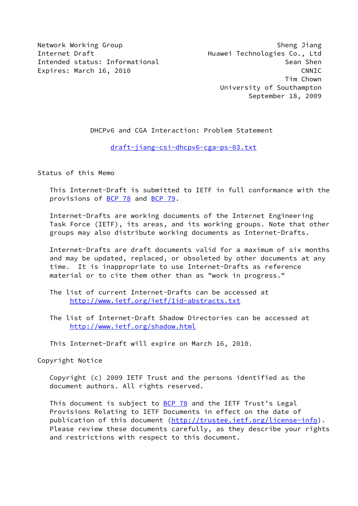Network Working Group Sheng Jiang Sheng Jiang Sheng Jiang Sheng Jiang Sheng Jiang Sheng Jiang Sheng Jiang Sheng Jiang Sheng Jiang Sheng Jiang Sheng Jiang Sheng Jiang Sheng Jiang Sheng Jiang Sheng Jiang Sheng Jiang Sheng Ji Internet Draft **Huawei Technologies Co.**, Ltd Intended status: Informational Sean Shen Expires: March 16, 2010 CNNIC

 Tim Chown University of Southampton September 18, 2009

DHCPv6 and CGA Interaction: Problem Statement

[draft-jiang-csi-dhcpv6-cga-ps-03.txt](https://datatracker.ietf.org/doc/pdf/draft-jiang-csi-dhcpv6-cga-ps-03.txt)

Status of this Memo

 This Internet-Draft is submitted to IETF in full conformance with the provisions of [BCP 78](https://datatracker.ietf.org/doc/pdf/bcp78) and [BCP 79](https://datatracker.ietf.org/doc/pdf/bcp79).

 Internet-Drafts are working documents of the Internet Engineering Task Force (IETF), its areas, and its working groups. Note that other groups may also distribute working documents as Internet-Drafts.

 Internet-Drafts are draft documents valid for a maximum of six months and may be updated, replaced, or obsoleted by other documents at any time. It is inappropriate to use Internet-Drafts as reference material or to cite them other than as "work in progress."

 The list of current Internet-Drafts can be accessed at <http://www.ietf.org/ietf/1id-abstracts.txt>

 The list of Internet-Draft Shadow Directories can be accessed at <http://www.ietf.org/shadow.html>

This Internet-Draft will expire on March 16, 2010.

Copyright Notice

 Copyright (c) 2009 IETF Trust and the persons identified as the document authors. All rights reserved.

This document is subject to [BCP 78](https://datatracker.ietf.org/doc/pdf/bcp78) and the IETF Trust's Legal Provisions Relating to IETF Documents in effect on the date of publication of this document [\(http://trustee.ietf.org/license-info](http://trustee.ietf.org/license-info)). Please review these documents carefully, as they describe your rights and restrictions with respect to this document.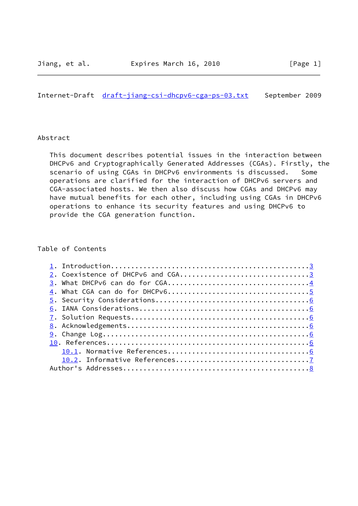Internet-Draft [draft-jiang-csi-dhcpv6-cga-ps-03.txt](https://datatracker.ietf.org/doc/pdf/draft-jiang-csi-dhcpv6-cga-ps-03.txt) September 2009

## Abstract

 This document describes potential issues in the interaction between DHCPv6 and Cryptographically Generated Addresses (CGAs). Firstly, the scenario of using CGAs in DHCPv6 environments is discussed. Some operations are clarified for the interaction of DHCPv6 servers and CGA-associated hosts. We then also discuss how CGAs and DHCPv6 may have mutual benefits for each other, including using CGAs in DHCPv6 operations to enhance its security features and using DHCPv6 to provide the CGA generation function.

## Table of Contents

| 2. Coexistence of DHCPv6 and CGA3 |  |
|-----------------------------------|--|
|                                   |  |
|                                   |  |
|                                   |  |
|                                   |  |
|                                   |  |
|                                   |  |
|                                   |  |
|                                   |  |
|                                   |  |
|                                   |  |
|                                   |  |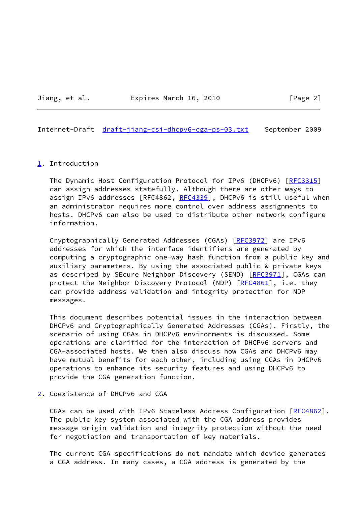Jiang, et al. **Expires March 16, 2010** [Page 2]

<span id="page-2-1"></span>Internet-Draft [draft-jiang-csi-dhcpv6-cga-ps-03.txt](https://datatracker.ietf.org/doc/pdf/draft-jiang-csi-dhcpv6-cga-ps-03.txt) September 2009

## <span id="page-2-0"></span>[1](#page-2-0). Introduction

The Dynamic Host Configuration Protocol for IPv6 (DHCPv6) [[RFC3315](https://datatracker.ietf.org/doc/pdf/rfc3315)] can assign addresses statefully. Although there are other ways to assign IPv6 addresses [RFC4862, [RFC4339](https://datatracker.ietf.org/doc/pdf/rfc4339)], DHCPv6 is still useful when an administrator requires more control over address assignments to hosts. DHCPv6 can also be used to distribute other network configure information.

Cryptographically Generated Addresses (CGAs) [\[RFC3972](https://datatracker.ietf.org/doc/pdf/rfc3972)] are IPv6 addresses for which the interface identifiers are generated by computing a cryptographic one-way hash function from a public key and auxiliary parameters. By using the associated public & private keys as described by SEcure Neighbor Discovery (SEND) [\[RFC3971](https://datatracker.ietf.org/doc/pdf/rfc3971)], CGAs can protect the Neighbor Discovery Protocol (NDP) [[RFC4861](https://datatracker.ietf.org/doc/pdf/rfc4861)], i.e. they can provide address validation and integrity protection for NDP messages.

 This document describes potential issues in the interaction between DHCPv6 and Cryptographically Generated Addresses (CGAs). Firstly, the scenario of using CGAs in DHCPv6 environments is discussed. Some operations are clarified for the interaction of DHCPv6 servers and CGA-associated hosts. We then also discuss how CGAs and DHCPv6 may have mutual benefits for each other, including using CGAs in DHCPv6 operations to enhance its security features and using DHCPv6 to provide the CGA generation function.

## <span id="page-2-2"></span>[2](#page-2-2). Coexistence of DHCPv6 and CGA

CGAs can be used with IPv6 Stateless Address Configuration [[RFC4862\]](https://datatracker.ietf.org/doc/pdf/rfc4862). The public key system associated with the CGA address provides message origin validation and integrity protection without the need for negotiation and transportation of key materials.

 The current CGA specifications do not mandate which device generates a CGA address. In many cases, a CGA address is generated by the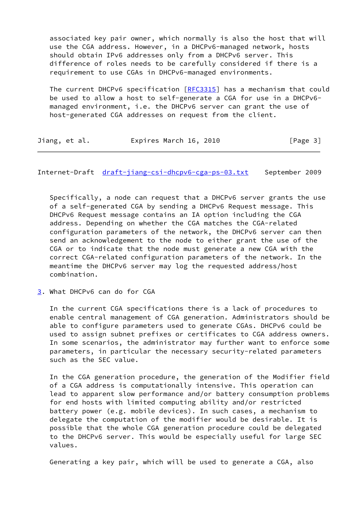associated key pair owner, which normally is also the host that will use the CGA address. However, in a DHCPv6-managed network, hosts should obtain IPv6 addresses only from a DHCPv6 server. This difference of roles needs to be carefully considered if there is a requirement to use CGAs in DHCPv6-managed environments.

The current DHCPv6 specification [\[RFC3315](https://datatracker.ietf.org/doc/pdf/rfc3315)] has a mechanism that could be used to allow a host to self-generate a CGA for use in a DHCPv6 managed environment, i.e. the DHCPv6 server can grant the use of host-generated CGA addresses on request from the client.

| Expires March 16, 2010<br>Jiang, et al.<br>[Page 3] |  |
|-----------------------------------------------------|--|
|-----------------------------------------------------|--|

<span id="page-3-1"></span>Internet-Draft [draft-jiang-csi-dhcpv6-cga-ps-03.txt](https://datatracker.ietf.org/doc/pdf/draft-jiang-csi-dhcpv6-cga-ps-03.txt) September 2009

 Specifically, a node can request that a DHCPv6 server grants the use of a self-generated CGA by sending a DHCPv6 Request message. This DHCPv6 Request message contains an IA option including the CGA address. Depending on whether the CGA matches the CGA-related configuration parameters of the network, the DHCPv6 server can then send an acknowledgement to the node to either grant the use of the CGA or to indicate that the node must generate a new CGA with the correct CGA-related configuration parameters of the network. In the meantime the DHCPv6 server may log the requested address/host combination.

<span id="page-3-0"></span>[3](#page-3-0). What DHCPv6 can do for CGA

 In the current CGA specifications there is a lack of procedures to enable central management of CGA generation. Administrators should be able to configure parameters used to generate CGAs. DHCPv6 could be used to assign subnet prefixes or certificates to CGA address owners. In some scenarios, the administrator may further want to enforce some parameters, in particular the necessary security-related parameters such as the SEC value.

 In the CGA generation procedure, the generation of the Modifier field of a CGA address is computationally intensive. This operation can lead to apparent slow performance and/or battery consumption problems for end hosts with limited computing ability and/or restricted battery power (e.g. mobile devices). In such cases, a mechanism to delegate the computation of the modifier would be desirable. It is possible that the whole CGA generation procedure could be delegated to the DHCPv6 server. This would be especially useful for large SEC values.

Generating a key pair, which will be used to generate a CGA, also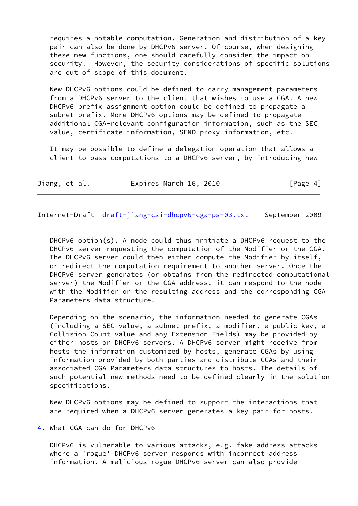requires a notable computation. Generation and distribution of a key pair can also be done by DHCPv6 server. Of course, when designing these new functions, one should carefully consider the impact on security. However, the security considerations of specific solutions are out of scope of this document.

 New DHCPv6 options could be defined to carry management parameters from a DHCPv6 server to the client that wishes to use a CGA. A new DHCPv6 prefix assignment option could be defined to propagate a subnet prefix. More DHCPv6 options may be defined to propagate additional CGA-relevant configuration information, such as the SEC value, certificate information, SEND proxy information, etc.

 It may be possible to define a delegation operation that allows a client to pass computations to a DHCPv6 server, by introducing new

|  | Jiang, et al. |  | Expires March 16, 2010 |  | [Page 4] |
|--|---------------|--|------------------------|--|----------|
|--|---------------|--|------------------------|--|----------|

<span id="page-4-1"></span>Internet-Draft [draft-jiang-csi-dhcpv6-cga-ps-03.txt](https://datatracker.ietf.org/doc/pdf/draft-jiang-csi-dhcpv6-cga-ps-03.txt) September 2009

 DHCPv6 option(s). A node could thus initiate a DHCPv6 request to the DHCPv6 server requesting the computation of the Modifier or the CGA. The DHCPv6 server could then either compute the Modifier by itself, or redirect the computation requirement to another server. Once the DHCPv6 server generates (or obtains from the redirected computational server) the Modifier or the CGA address, it can respond to the node with the Modifier or the resulting address and the corresponding CGA Parameters data structure.

 Depending on the scenario, the information needed to generate CGAs (including a SEC value, a subnet prefix, a modifier, a public key, a Collision Count value and any Extension Fields) may be provided by either hosts or DHCPv6 servers. A DHCPv6 server might receive from hosts the information customized by hosts, generate CGAs by using information provided by both parties and distribute CGAs and their associated CGA Parameters data structures to hosts. The details of such potential new methods need to be defined clearly in the solution specifications.

 New DHCPv6 options may be defined to support the interactions that are required when a DHCPv6 server generates a key pair for hosts.

<span id="page-4-0"></span>[4](#page-4-0). What CGA can do for DHCPv6

 DHCPv6 is vulnerable to various attacks, e.g. fake address attacks where a 'rogue' DHCPv6 server responds with incorrect address information. A malicious rogue DHCPv6 server can also provide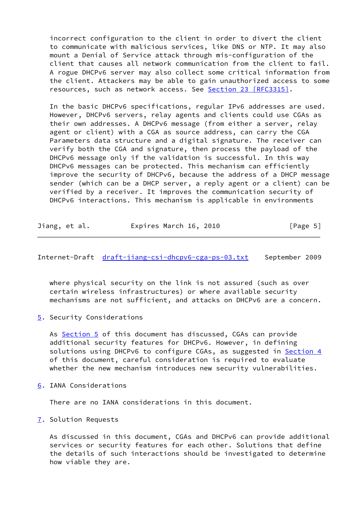incorrect configuration to the client in order to divert the client to communicate with malicious services, like DNS or NTP. It may also mount a Denial of Service attack through mis-configuration of the client that causes all network communication from the client to fail. A rogue DHCPv6 server may also collect some critical information from the client. Attackers may be able to gain unauthorized access to some resources, such as network access. See Section [23 \[RFC3315\].](https://datatracker.ietf.org/doc/pdf/rfc3315#section-23)

 In the basic DHCPv6 specifications, regular IPv6 addresses are used. However, DHCPv6 servers, relay agents and clients could use CGAs as their own addresses. A DHCPv6 message (from either a server, relay agent or client) with a CGA as source address, can carry the CGA Parameters data structure and a digital signature. The receiver can verify both the CGA and signature, then process the payload of the DHCPv6 message only if the validation is successful. In this way DHCPv6 messages can be protected. This mechanism can efficiently improve the security of DHCPv6, because the address of a DHCP message sender (which can be a DHCP server, a reply agent or a client) can be verified by a receiver. It improves the communication security of DHCPv6 interactions. This mechanism is applicable in environments

|  | Jiang, et al. | Expires March 16, 2010 | [Page 5] |
|--|---------------|------------------------|----------|
|--|---------------|------------------------|----------|

<span id="page-5-1"></span>Internet-Draft [draft-jiang-csi-dhcpv6-cga-ps-03.txt](https://datatracker.ietf.org/doc/pdf/draft-jiang-csi-dhcpv6-cga-ps-03.txt) September 2009

 where physical security on the link is not assured (such as over certain wireless infrastructures) or where available security mechanisms are not sufficient, and attacks on DHCPv6 are a concern.

<span id="page-5-0"></span>[5](#page-5-0). Security Considerations

As [Section 5](#page-5-0) of this document has discussed, CGAs can provide additional security features for DHCPv6. However, in defining solutions using DHCPv6 to configure CGAs, as suggested in **Section 4**  of this document, careful consideration is required to evaluate whether the new mechanism introduces new security vulnerabilities.

<span id="page-5-2"></span>[6](#page-5-2). IANA Considerations

There are no IANA considerations in this document.

<span id="page-5-3"></span>[7](#page-5-3). Solution Requests

 As discussed in this document, CGAs and DHCPv6 can provide additional services or security features for each other. Solutions that define the details of such interactions should be investigated to determine how viable they are.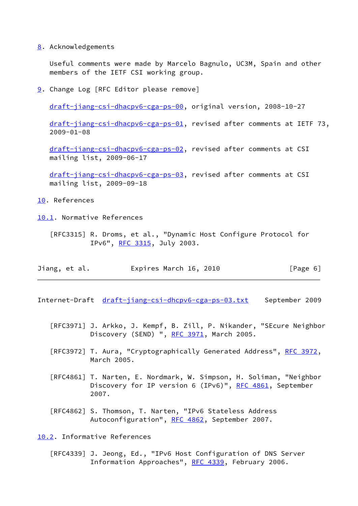<span id="page-6-0"></span>[8](#page-6-0). Acknowledgements

 Useful comments were made by Marcelo Bagnulo, UC3M, Spain and other members of the IETF CSI working group.

<span id="page-6-1"></span>[9](#page-6-1). Change Log [RFC Editor please remove]

[draft-jiang-csi-dhacpv6-cga-ps-00](https://datatracker.ietf.org/doc/pdf/draft-jiang-csi-dhacpv6-cga-ps-00), original version, 2008-10-27

 [draft-jiang-csi-dhacpv6-cga-ps-01](https://datatracker.ietf.org/doc/pdf/draft-jiang-csi-dhacpv6-cga-ps-01), revised after comments at IETF 73, 2009-01-08

 [draft-jiang-csi-dhacpv6-cga-ps-02](https://datatracker.ietf.org/doc/pdf/draft-jiang-csi-dhacpv6-cga-ps-02), revised after comments at CSI mailing list, 2009-06-17

 [draft-jiang-csi-dhacpv6-cga-ps-03](https://datatracker.ietf.org/doc/pdf/draft-jiang-csi-dhacpv6-cga-ps-03), revised after comments at CSI mailing list, 2009-09-18

<span id="page-6-2"></span>[10.](#page-6-2) References

<span id="page-6-3"></span>[10.1](#page-6-3). Normative References

 [RFC3315] R. Droms, et al., "Dynamic Host Configure Protocol for IPv6", [RFC 3315](https://datatracker.ietf.org/doc/pdf/rfc3315), July 2003.

| Jiang, et al. | Expires March 16, 2010 |  | [Page 6] |  |
|---------------|------------------------|--|----------|--|
|               |                        |  |          |  |

<span id="page-6-5"></span>Internet-Draft [draft-jiang-csi-dhcpv6-cga-ps-03.txt](https://datatracker.ietf.org/doc/pdf/draft-jiang-csi-dhcpv6-cga-ps-03.txt) September 2009

- [RFC3971] J. Arkko, J. Kempf, B. Zill, P. Nikander, "SEcure Neighbor Discovery (SEND) ", [RFC 3971](https://datatracker.ietf.org/doc/pdf/rfc3971), March 2005.
- [RFC3972] T. Aura, "Cryptographically Generated Address", [RFC 3972](https://datatracker.ietf.org/doc/pdf/rfc3972), March 2005.
- [RFC4861] T. Narten, E. Nordmark, W. Simpson, H. Soliman, "Neighbor Discovery for IP version 6 (IPv6)", [RFC 4861](https://datatracker.ietf.org/doc/pdf/rfc4861), September 2007.
- [RFC4862] S. Thomson, T. Narten, "IPv6 Stateless Address Autoconfiguration", [RFC 4862](https://datatracker.ietf.org/doc/pdf/rfc4862), September 2007.

<span id="page-6-4"></span>[10.2](#page-6-4). Informative References

 [RFC4339] J. Jeong, Ed., "IPv6 Host Configuration of DNS Server Information Approaches", [RFC 4339,](https://datatracker.ietf.org/doc/pdf/rfc4339) February 2006.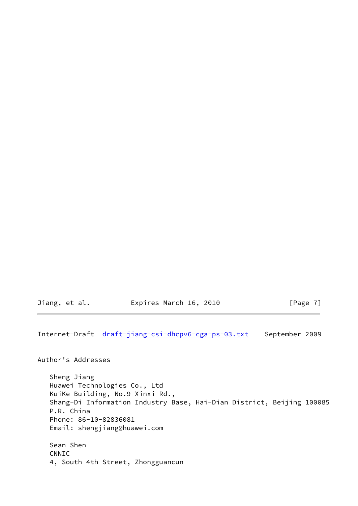Jiang, et al. **Expires March 16, 2010** [Page 7]

<span id="page-7-0"></span>Internet-Draft [draft-jiang-csi-dhcpv6-cga-ps-03.txt](https://datatracker.ietf.org/doc/pdf/draft-jiang-csi-dhcpv6-cga-ps-03.txt) September 2009

Author's Addresses

 Sheng Jiang Huawei Technologies Co., Ltd KuiKe Building, No.9 Xinxi Rd., Shang-Di Information Industry Base, Hai-Dian District, Beijing 100085 P.R. China Phone: 86-10-82836081 Email: shengjiang@huawei.com Sean Shen

 CNNIC 4, South 4th Street, Zhongguancun